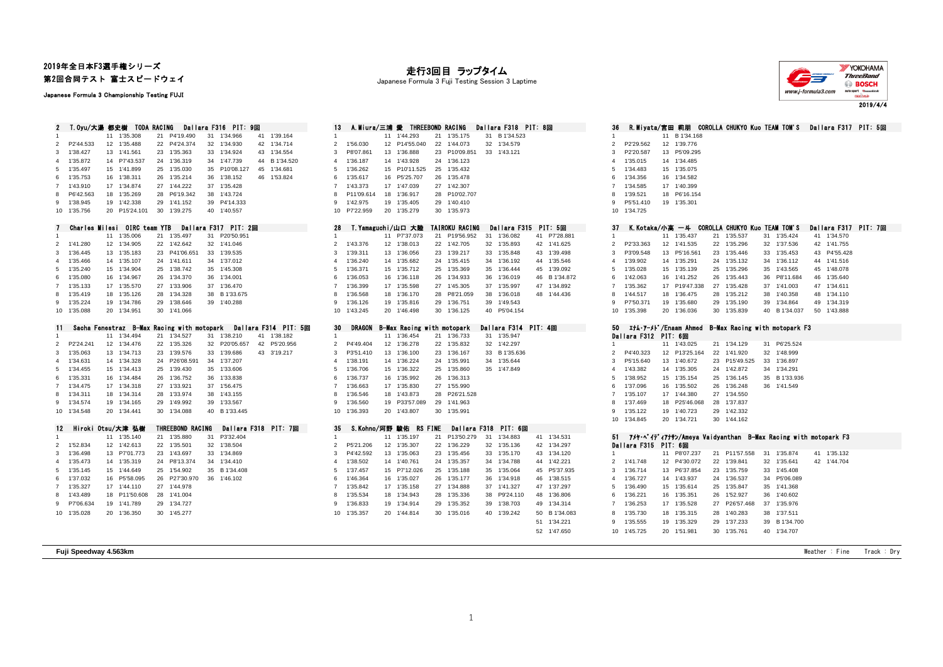## 2019年全日本F3選手権シリーズ 第2回合同テスト 富士スピードウェイ

Japanese Formula 3 Championship Testing FUJI

| $\mathbf{2}$            | T.Oyu/大湯 都史樹 TODA RACING     |          |                      |    |                                                        |          | Dallara F316 PIT: 9回 |    |                                 |  |  |
|-------------------------|------------------------------|----------|----------------------|----|--------------------------------------------------------|----------|----------------------|----|---------------------------------|--|--|
| 1                       |                              | 11       | 1'35.308             | 21 | P4'19.490                                              | 31       | 1'34.966             | 41 | 1'39.164                        |  |  |
| 2                       | P2'44.533                    | 12       | 1'35.488             | 22 | P4'24.374                                              | 32       | 1'34.930             | 42 | 1'34.714                        |  |  |
| 3                       | 1'38.427                     | 13       | 1'41.561             | 23 | 1'35.363                                               | 33       | 1'34.924             | 43 | 1'34.554                        |  |  |
| 4                       | 1'35.872                     | 14       | P7'43.537            | 24 | 1'36.319                                               | 34       | 1'47.739             | 44 | B 1'34.520                      |  |  |
| 5                       | 1'35.497                     | 15       | 1'41.899             | 25 | 1'35.030                                               | 35       | P10'08.127           | 45 | 1'34.681                        |  |  |
| 6                       | 1'35.753                     | 16       | 1'38.311             | 26 | 1'35.214                                               | 36       | 1'38.152             | 46 | 1'53.824                        |  |  |
| 7                       | 1'43.910                     | 17       | 1'34.874             | 27 | 1'44.222                                               | 37       | 1'35.428             |    |                                 |  |  |
| 8                       | P6'42.563                    | 18       | 1'35.269             | 28 | P6'19.342                                              | 38       | 1'43.724             |    |                                 |  |  |
| 9                       | 1'38.945                     | 19       | 1'42.338             | 29 | 1'41.152                                               | 39       | P4'14.333            |    |                                 |  |  |
| 10                      | 1'35.756                     | 20       | P15'24.101           | 30 | 1'39.275                                               | 40       | 1'40.557             |    |                                 |  |  |
|                         |                              |          |                      |    |                                                        |          |                      |    |                                 |  |  |
| 7                       | Charles Milesi OIRC team YTB |          |                      |    |                                                        |          | Dallara F317 PIT: 2回 |    |                                 |  |  |
| 1                       |                              | 11       | 1'35.006             | 21 | 1'35.497                                               | 31       | P20'50.951           |    |                                 |  |  |
| $\overline{\mathbf{c}}$ | 1'41.280                     | 12       | 1'34.905             | 22 | 1'42.642                                               | 32       | 1'41.046             |    |                                 |  |  |
| 3                       | 1'36.445                     | 13       | 1'35.183             | 23 | P41'06.651                                             | 33       | 1'39.535             |    |                                 |  |  |
| 4                       | 1'35.466                     | 14       | 1'35.107             | 24 | 1'41.611                                               | 34       | 1'37.012             |    |                                 |  |  |
| 5                       | 1'35.240                     | 15       | 1'34.904             | 25 | 1'38.742                                               | 35       | 1'45.308             |    |                                 |  |  |
| 6                       | 1'35.080                     | 16       | 1'34.967             | 26 | 1'34.370                                               | 36       | 1'34.001             |    |                                 |  |  |
| $\overline{7}$          | 1'35.133                     | 17       | 1'35.570             | 27 | 1'33.906                                               | 37       | 1'36.470             |    |                                 |  |  |
| 8                       | 1'35.419                     | 18       | 1'35.126             | 28 | 1'34.328                                               | 38       | B 1'33.675           |    |                                 |  |  |
| 9                       | 1'35.224                     | 19       | 1'34.786             | 29 | 1'38.646                                               | 39       | 1'40.288             |    |                                 |  |  |
| 10                      | 1'35.088                     | 20       | 1'34.951             | 30 | 1'41.066                                               |          |                      |    |                                 |  |  |
|                         |                              |          |                      |    |                                                        |          |                      |    |                                 |  |  |
| 11<br>1                 |                              | 11       | 1'34.494             | 21 | Sacha Fenestraz B-Max Racing with motopark<br>1'34.527 | 31       | 1'38.210             | 41 | Dallara F314 PIT: 5<br>1'38.182 |  |  |
| $\overline{2}$          | P2'24.241                    | 12       | 1'34.476             | 22 | 1'35.326                                               | 32       | P20'05.657           | 42 | P5'20.956                       |  |  |
| 3                       | 1'35.063                     | 13       | 1'34.713             | 23 | 1'39.576                                               | 33       | 1'39.686             | 43 | 3'19.217                        |  |  |
|                         |                              |          |                      | 24 |                                                        |          |                      |    |                                 |  |  |
| 4                       | 1'34.631                     | 14       | 1'34.328             | 25 | P26'08.591                                             | 34       | 1'37.207             |    |                                 |  |  |
| 5                       | 1'34.455                     | 15       | 1'34.413<br>1'34.484 | 26 | 1'39.430<br>1'36.752                                   | 35       | 1'33.606<br>1'33.838 |    |                                 |  |  |
| 6<br>7                  | 1'35.331<br>1'34.475         | 16<br>17 | 1'34.318             | 27 | 1'33.921                                               | 36<br>37 | 1'56.475             |    |                                 |  |  |
| 8                       | 1'34.311                     | 18       | 1'34.314             | 28 | 1'33.974                                               | 38       | 1'43.155             |    |                                 |  |  |
| 9                       | 1'34.574                     | 19       | 1'34.165             | 29 | 1'49.992                                               | 39       | 1'33.567             |    |                                 |  |  |
| 10                      | 1'34.548                     | 20       | 1'34.441             | 30 | 1'34.088                                               | 40       | B 1'33.445           |    |                                 |  |  |
|                         |                              |          |                      |    |                                                        |          |                      |    |                                 |  |  |
| 12                      | Hiroki Otsu/大津 弘樹            |          |                      |    | THREEBOND RACING                                       |          | Dallara F318         |    | PIT: 7回                         |  |  |
| 1                       |                              | 11       | 1'35.140             | 21 | 1'35.880                                               | 31       | P3'32.404            |    |                                 |  |  |
| 2                       | 1'52.834                     | 12       | 1'42.613             | 22 | 1'35.501                                               | 32       | 1'38.504             |    |                                 |  |  |
| 3                       | 1'36.498                     | 13       | P7'01.773            | 23 | 1'43.697                                               | 33       | 1'34.869             |    |                                 |  |  |
| 4                       | 1'35.473                     | 14       | 1'35.319             | 24 | P8'13.374                                              | 34       | 1'34.410             |    |                                 |  |  |
| $\epsilon$              | $4!9E$ $4AE$                 |          | $4E$ $4!AB$ $640$    |    | $25 - 4! \times 002$                                   | 25       | <b>D 4194 400</b>    |    |                                 |  |  |

## 走行3回目 ラップタイム

Japanese Formula 3 Fuji Testing Session 3 Laptime



|                    | <b>YOKOHAMA</b><br>ThreeBand |  |  |  |  |
|--------------------|------------------------------|--|--|--|--|
|                    |                              |  |  |  |  |
|                    | <b>BOSCH</b>                 |  |  |  |  |
| www.j-formula3.com |                              |  |  |  |  |

2019/4/4

| 36             | R.Miyata/宮田 莉朋                                               |                 |            |    |               |    | COROLLA CHUKYO Kuo TEAM TOM'S |    | Dallara F317 | PIT: 5回 |  |
|----------------|--------------------------------------------------------------|-----------------|------------|----|---------------|----|-------------------------------|----|--------------|---------|--|
| 1              |                                                              | 11              | B 1'34.168 |    |               |    |                               |    |              |         |  |
| $\overline{2}$ | P2'29.562                                                    | 12              | 1'39.776   |    |               |    |                               |    |              |         |  |
| 3              | P2'20.587                                                    | 13              | P5'09.295  |    |               |    |                               |    |              |         |  |
| 4              | 1'35.015                                                     | 14              | 1'34.485   |    |               |    |                               |    |              |         |  |
| 5              | 1'34.483                                                     | 15              | 1'35.075   |    |               |    |                               |    |              |         |  |
| 6              | 1'34.356                                                     | 16              | 1'34.582   |    |               |    |                               |    |              |         |  |
| $\overline{7}$ | 1'34.585                                                     | 17              | 1'40.399   |    |               |    |                               |    |              |         |  |
| 8              | 1'39.521                                                     | 18              | P6'16.154  |    |               |    |                               |    |              |         |  |
| 9              | P5'51.410                                                    | 19              | 1'35.301   |    |               |    |                               |    |              |         |  |
| 10             | 1'34.725                                                     |                 |            |    |               |    |                               |    |              |         |  |
| 37             | K.Kotaka/小高 一斗 COROLLA CHUKYO Kuo TEAM TOM'S                 |                 |            |    |               |    |                               |    | Dallara F317 | PIT: 7回 |  |
| 1              |                                                              | 11              | 1'35.437   | 21 | 1'35.537      | 31 | 1'35.424                      | 41 | 1'34.570     |         |  |
| $\overline{2}$ | P2'33.363                                                    | 12              | 1'41.535   | 22 | 1'35.296      | 32 | 1'37.536                      | 42 | 1'41.755     |         |  |
| 3              | P3'09.548                                                    | 13              | P5'16.561  | 23 | 1'35.446      | 33 | 1'35.453                      | 43 | P4'55.428    |         |  |
| 4              | 1'39.902                                                     | 14              | 1'35.291   | 24 | 1'35.132      | 34 | 1'36.112                      | 44 | 1'41.516     |         |  |
| 5              | 1'35.028                                                     | 15              | 1'35.139   |    | 25 1'35.296   | 35 | 1'43.565                      | 45 | 1'48.078     |         |  |
| 6              | 1'42.063                                                     | 16              | 1'41.252   | 26 | 1'35.443      | 36 | P8'11.684                     | 46 | 1'35.640     |         |  |
| 7              | 1'35.362                                                     | 17              | P19'47.338 | 27 | 1'35.428      | 37 | 1'41.003                      | 47 | 1'34.611     |         |  |
| 8              | 1'44.517                                                     | 18              | 1'36.475   | 28 | 1'35.212      | 38 | 1'40.358                      | 48 | 1'34.110     |         |  |
| 9              | P7'50.371                                                    | 19              | 1'35.680   | 29 | 1'35.190      | 39 | 1'34.864                      | 49 | 1'34.319     |         |  |
| 10             | 1'35.398                                                     | 20              | 1'36.036   | 30 | 1'35.839      | 40 | B 1'34.037                    | 50 | 1'43.888     |         |  |
|                |                                                              |                 |            |    |               |    |                               |    |              |         |  |
| 50             | エナム・アーメト゛/Enaam Ahmed                                        |                 |            |    |               |    | B-Max Racing with motopark F3 |    |              |         |  |
|                | Dallara F312                                                 |                 | PIT: 6回    |    |               |    |                               |    |              |         |  |
| 1              |                                                              | 11              | 1'43.025   | 21 | 1'34.129      | 31 | P6'25.524                     |    |              |         |  |
| 2              | P4'40.323                                                    | 12 <sup>2</sup> | P13'25.164 | 22 | 1'41.920      | 32 | 1'48.999                      |    |              |         |  |
| 3              | P5'15.640                                                    | 13              | 1'40.672   |    | 23 P15'49.525 | 33 | 1'36.897                      |    |              |         |  |
| 4              | 1'43.382                                                     | 14              | 1'35.305   | 24 | 1'42.872      | 34 | 1'34.291                      |    |              |         |  |
| 5              | 1'38.952                                                     | 15              | 1'35.154   |    | 25 1'36.145   | 35 | B 1'33.936                    |    |              |         |  |
| 6              | 1'37.096                                                     | 16              | 1'35.502   | 26 | 1'36.248      | 36 | 1'41.549                      |    |              |         |  |
| $\overline{7}$ | 1'35.107                                                     | 17              | 1'44.380   | 27 | 1'34.550      |    |                               |    |              |         |  |
| 8              | 1'37.469                                                     | 18              | P25'46.068 | 28 | 1'37.837      |    |                               |    |              |         |  |
| 9              | 1'35.122                                                     | 19              | 1'40.723   | 29 | 1'42.332      |    |                               |    |              |         |  |
| 10             | 1'34.845                                                     | 20              | 1'34.721   | 30 | 1'44.162      |    |                               |    |              |         |  |
| 51             | 7メヤ・ベイディアナサン/Ameya Vaidyanthan B-Max Racing with motopark F3 |                 |            |    |               |    |                               |    |              |         |  |
|                | Dallara F315                                                 |                 | PIT: 6回    |    |               |    |                               |    |              |         |  |
| 1              |                                                              | 11              | P8'07.237  | 21 | P11'57.558    | 31 | 1'35.874                      | 41 | 1'35.132     |         |  |
| $\overline{2}$ | 1'41.748                                                     | 12              | P4'30.072  | 22 | 1'39.841      | 32 | 1'35.641                      | 42 | 1'44.704     |         |  |
| 3              | 1'36.714                                                     | 13              | P6'37.854  |    | 23 1'35.759   | 33 | 1'45.408                      |    |              |         |  |
| 4              | 1'36.727                                                     | 14              | 1'43.937   | 24 | 1'36.537      | 34 | P5'06.089                     |    |              |         |  |
| 5              | 1'36.490                                                     | 15              | 1'35.614   | 25 | 1'35.847      | 35 | 1'41.368                      |    |              |         |  |
| 6              | 1'36.221                                                     | 16              | 1'35.351   | 26 | 1'52.927      | 36 | 1'40.602                      |    |              |         |  |
| $\overline{7}$ | 1'36.253                                                     | 17              | 1'35.528   | 27 | P26'57.468    | 37 | 1'35.976                      |    |              |         |  |
| 8              | 1'35.730                                                     | 18              | 1'35.315   | 28 | 1'40.283      | 38 | 1'37.511                      |    |              |         |  |
| 9              | 1'35.555                                                     | 19              | 1'35.329   | 29 | 1'37.233      | 39 | B 1'34.700                    |    |              |         |  |
| 10             | 1'45.725                                                     | 20              | 1'51.981   | 30 | 1'35.761      | 40 | 1'34.707                      |    |              |         |  |
|                |                                                              |                 |            |    |               |    |                               |    |              |         |  |
|                |                                                              |                 |            |    |               |    |                               |    |              |         |  |

**Fuji Speedway 4.563km** Weather : Fine Track : Dry